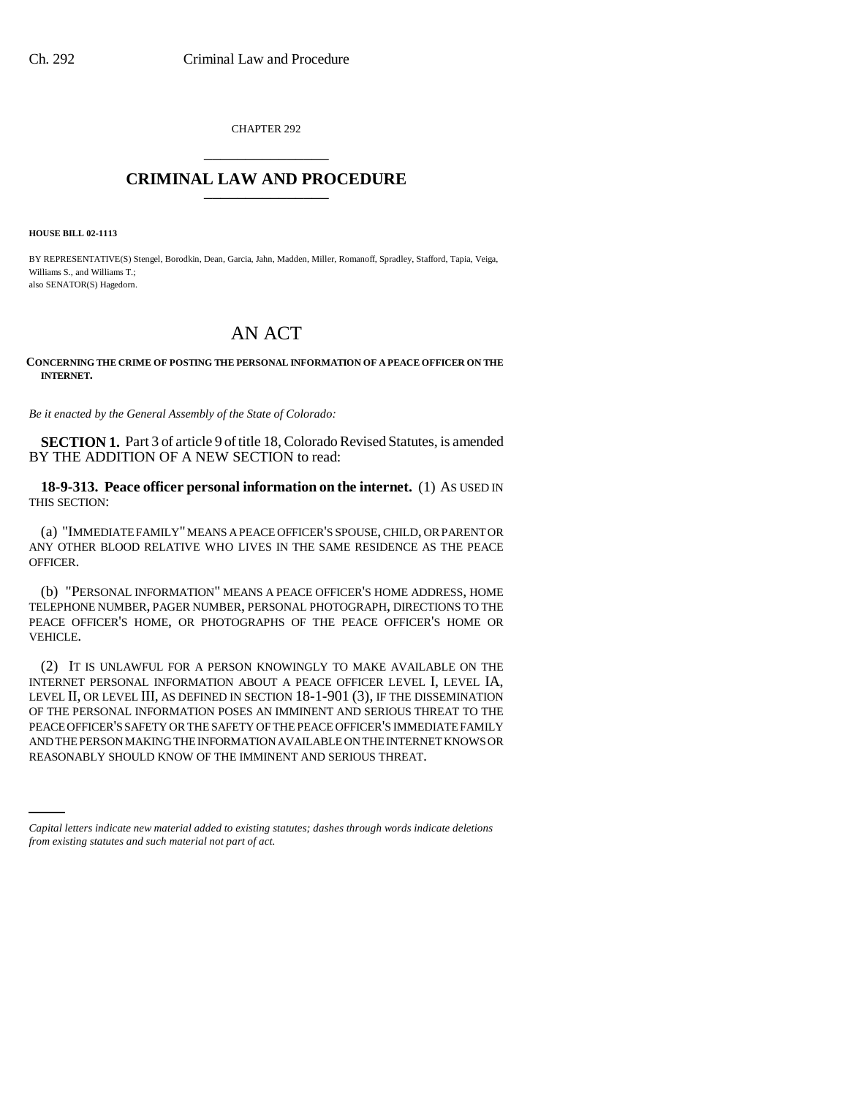CHAPTER 292 \_\_\_\_\_\_\_\_\_\_\_\_\_\_\_

## **CRIMINAL LAW AND PROCEDURE** \_\_\_\_\_\_\_\_\_\_\_\_\_\_\_

**HOUSE BILL 02-1113**

BY REPRESENTATIVE(S) Stengel, Borodkin, Dean, Garcia, Jahn, Madden, Miller, Romanoff, Spradley, Stafford, Tapia, Veiga, Williams S., and Williams T.; also SENATOR(S) Hagedorn.

## AN ACT

## **CONCERNING THE CRIME OF POSTING THE PERSONAL INFORMATION OF A PEACE OFFICER ON THE INTERNET.**

*Be it enacted by the General Assembly of the State of Colorado:*

**SECTION 1.** Part 3 of article 9 of title 18, Colorado Revised Statutes, is amended BY THE ADDITION OF A NEW SECTION to read:

**18-9-313. Peace officer personal information on the internet.** (1) AS USED IN THIS SECTION:

(a) "IMMEDIATE FAMILY" MEANS A PEACE OFFICER'S SPOUSE, CHILD, OR PARENT OR ANY OTHER BLOOD RELATIVE WHO LIVES IN THE SAME RESIDENCE AS THE PEACE OFFICER.

(b) "PERSONAL INFORMATION" MEANS A PEACE OFFICER'S HOME ADDRESS, HOME TELEPHONE NUMBER, PAGER NUMBER, PERSONAL PHOTOGRAPH, DIRECTIONS TO THE PEACE OFFICER'S HOME, OR PHOTOGRAPHS OF THE PEACE OFFICER'S HOME OR VEHICLE.

AND THE PERSON MAKING THE INFORMATION AVAILABLE ON THE INTERNET KNOWS OR (2) IT IS UNLAWFUL FOR A PERSON KNOWINGLY TO MAKE AVAILABLE ON THE INTERNET PERSONAL INFORMATION ABOUT A PEACE OFFICER LEVEL I, LEVEL IA, LEVEL II, OR LEVEL III, AS DEFINED IN SECTION 18-1-901 (3), IF THE DISSEMINATION OF THE PERSONAL INFORMATION POSES AN IMMINENT AND SERIOUS THREAT TO THE PEACE OFFICER'S SAFETY OR THE SAFETY OF THE PEACE OFFICER'S IMMEDIATE FAMILY REASONABLY SHOULD KNOW OF THE IMMINENT AND SERIOUS THREAT.

*Capital letters indicate new material added to existing statutes; dashes through words indicate deletions from existing statutes and such material not part of act.*